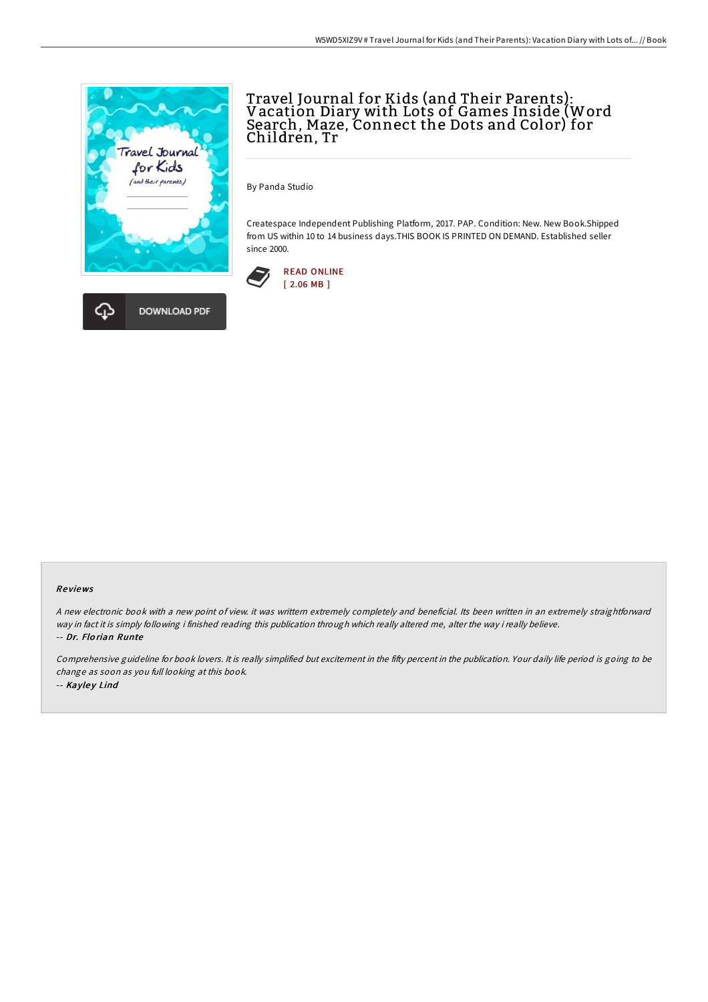



By Panda Studio

Createspace Independent Publishing Platform, 2017. PAP. Condition: New. New Book.Shipped from US within 10 to 14 business days.THIS BOOK IS PRINTED ON DEMAND. Established seller since 2000.



## Re views

<sup>A</sup> new electronic book with <sup>a</sup> new point of view. it was writtern extremely completely and beneficial. Its been written in an extremely straightforward way in fact it is simply following i finished reading this publication through which really altered me, alter the way i really believe. -- Dr. Flo rian Runte

Comprehensive guideline for book lovers. It is really simplified but excitement in the fifty percent in the publication. Your daily life period is going to be change as soon as you full looking at this book. -- Kayley Lind